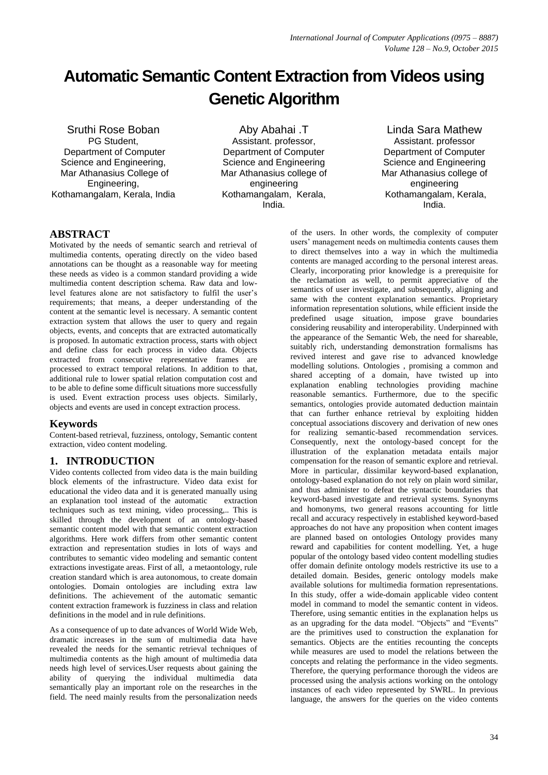# **Automatic Semantic Content Extraction from Videos using Genetic Algorithm**

Sruthi Rose Boban PG Student, Department of Computer Science and Engineering, Mar Athanasius College of Engineering, Kothamangalam, Kerala, India

Aby Abahai .T Assistant. professor, Department of Computer Science and Engineering Mar Athanasius college of engineering Kothamangalam, Kerala, India.

Linda Sara Mathew Assistant. professor Department of Computer Science and Engineering Mar Athanasius college of engineering Kothamangalam, Kerala, India.

# **ABSTRACT**

Motivated by the needs of semantic search and retrieval of multimedia contents, operating directly on the video based annotations can be thought as a reasonable way for meeting these needs as video is a common standard providing a wide multimedia content description schema. Raw data and lowlevel features alone are not satisfactory to fulfil the user's requirements; that means, a deeper understanding of the content at the semantic level is necessary. A semantic content extraction system that allows the user to query and regain objects, events, and concepts that are extracted automatically is proposed. In automatic extraction process, starts with object and define class for each process in video data. Objects extracted from consecutive representative frames are processed to extract temporal relations. In addition to that, additional rule to lower spatial relation computation cost and to be able to define some difficult situations more successfully is used. Event extraction process uses objects. Similarly, objects and events are used in concept extraction process.

#### **Keywords**

Content-based retrieval, fuzziness, ontology, Semantic content extraction, video content modeling*.*

# **1. INTRODUCTION**

Video contents collected from video data is the main building block elements of the infrastructure. Video data exist for educational the video data and it is generated manually using an explanation tool instead of the automatic extraction techniques such as text mining, video processing,.. This is skilled through the development of an ontology-based semantic content model with that semantic content extraction algorithms. Here work differs from other semantic content extraction and representation studies in lots of ways and contributes to semantic video modeling and semantic content extractions investigate areas. First of all, a metaontology, rule creation standard which is area autonomous, to create domain ontologies. Domain ontologies are including extra law definitions. The achievement of the automatic semantic content extraction framework is fuzziness in class and relation definitions in the model and in rule definitions.

As a consequence of up to date advances of World Wide Web, dramatic increases in the sum of multimedia data have revealed the needs for the semantic retrieval techniques of multimedia contents as the high amount of multimedia data needs high level of services.User requests about gaining the ability of querying the individual multimedia data semantically play an important role on the researches in the field. The need mainly results from the personalization needs

of the users. In other words, the complexity of computer users' management needs on multimedia contents causes them to direct themselves into a way in which the multimedia contents are managed according to the personal interest areas. Clearly, incorporating prior knowledge is a prerequisite for the reclamation as well, to permit appreciative of the semantics of user investigate, and subsequently, aligning and same with the content explanation semantics. Proprietary information representation solutions, while efficient inside the predefined usage situation, impose grave boundaries considering reusability and interoperability. Underpinned with the appearance of the Semantic Web, the need for shareable, suitably rich, understanding demonstration formalisms has revived interest and gave rise to advanced knowledge modelling solutions. Ontologies , promising a common and shared accepting of a domain, have twisted up into explanation enabling technologies providing machine reasonable semantics. Furthermore, due to the specific semantics, ontologies provide automated deduction maintain that can further enhance retrieval by exploiting hidden conceptual associations discovery and derivation of new ones for realizing semantic-based recommendation services. Consequently, next the ontology-based concept for the illustration of the explanation metadata entails major compensation for the reason of semantic explore and retrieval. More in particular, dissimilar keyword-based explanation, ontology-based explanation do not rely on plain word similar, and thus administer to defeat the syntactic boundaries that keyword-based investigate and retrieval systems. Synonyms and homonyms, two general reasons accounting for little recall and accuracy respectively in established keyword-based approaches do not have any proposition when content images are planned based on ontologies Ontology provides many reward and capabilities for content modelling. Yet, a huge popular of the ontology based video content modelling studies offer domain definite ontology models restrictive its use to a detailed domain. Besides, generic ontology models make available solutions for multimedia formation representations. In this study, offer a wide-domain applicable video content model in command to model the semantic content in videos. Therefore, using semantic entities in the explanation helps us as an upgrading for the data model. "Objects" and "Events" are the primitives used to construction the explanation for semantics. Objects are the entities recounting the concepts while measures are used to model the relations between the concepts and relating the performance in the video segments. Therefore, the querying performance thorough the videos are processed using the analysis actions working on the ontology instances of each video represented by SWRL. In previous language, the answers for the queries on the video contents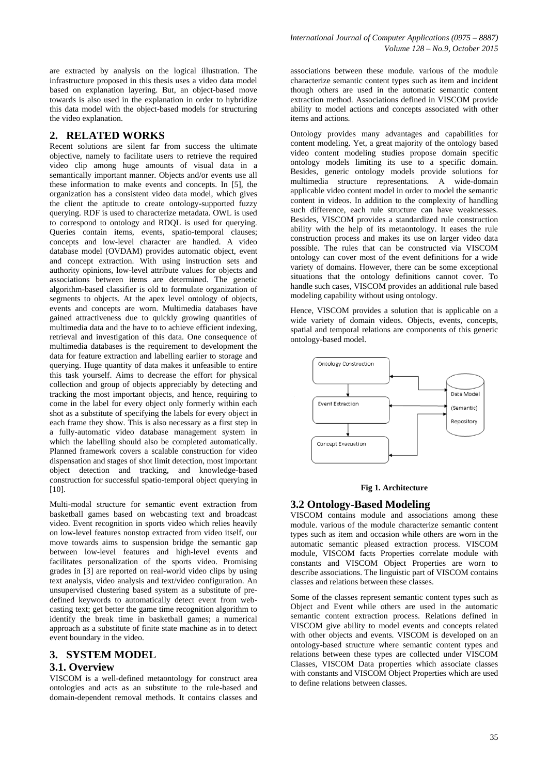are extracted by analysis on the logical illustration. The infrastructure proposed in this thesis uses a video data model based on explanation layering. But, an object-based move towards is also used in the explanation in order to hybridize this data model with the object-based models for structuring the video explanation.

#### **2. RELATED WORKS**

Recent solutions are silent far from success the ultimate objective, namely to facilitate users to retrieve the required video clip among huge amounts of visual data in a semantically important manner. Objects and/or events use all these information to make events and concepts. In [5], the organization has a consistent video data model, which gives the client the aptitude to create ontology-supported fuzzy querying. RDF is used to characterize metadata. OWL is used to correspond to ontology and RDQL is used for querying. Queries contain items, events, spatio-temporal clauses; concepts and low-level character are handled. A video database model (OVDAM) provides automatic object, event and concept extraction. With using instruction sets and authority opinions, low-level attribute values for objects and associations between items are determined. The genetic algorithm-based classifier is old to formulate organization of segments to objects. At the apex level ontology of objects, events and concepts are worn. Multimedia databases have gained attractiveness due to quickly growing quantities of multimedia data and the have to to achieve efficient indexing, retrieval and investigation of this data. One consequence of multimedia databases is the requirement to development the data for feature extraction and labelling earlier to storage and querying. Huge quantity of data makes it unfeasible to entire this task yourself. Aims to decrease the effort for physical collection and group of objects appreciably by detecting and tracking the most important objects, and hence, requiring to come in the label for every object only formerly within each shot as a substitute of specifying the labels for every object in each frame they show. This is also necessary as a first step in a fully-automatic video database management system in which the labelling should also be completed automatically. Planned framework covers a scalable construction for video dispensation and stages of shot limit detection, most important object detection and tracking, and knowledge-based construction for successful spatio-temporal object querying in [10].

Multi-modal structure for semantic event extraction from basketball games based on webcasting text and broadcast video. Event recognition in sports video which relies heavily on low-level features nonstop extracted from video itself, our move towards aims to suspension bridge the semantic gap between low-level features and high-level events and facilitates personalization of the sports video. Promising grades in [3] are reported on real-world video clips by using text analysis, video analysis and text/video configuration. An unsupervised clustering based system as a substitute of predefined keywords to automatically detect event from webcasting text; get better the game time recognition algorithm to identify the break time in basketball games; a numerical approach as a substitute of finite state machine as in to detect event boundary in the video.

#### **3. SYSTEM MODEL 3.1. Overview**

VISCOM is a well-defined metaontology for construct area ontologies and acts as an substitute to the rule-based and domain-dependent removal methods. It contains classes and associations between these module. various of the module characterize semantic content types such as item and incident though others are used in the automatic semantic content extraction method. Associations defined in VISCOM provide ability to model actions and concepts associated with other items and actions.

Ontology provides many advantages and capabilities for content modeling. Yet, a great majority of the ontology based video content modeling studies propose domain specific ontology models limiting its use to a specific domain. Besides, generic ontology models provide solutions for multimedia structure representations. A wide-domain applicable video content model in order to model the semantic content in videos. In addition to the complexity of handling such difference, each rule structure can have weaknesses. Besides, VISCOM provides a standardized rule construction ability with the help of its metaontology. It eases the rule construction process and makes its use on larger video data possible. The rules that can be constructed via VISCOM ontology can cover most of the event definitions for a wide variety of domains. However, there can be some exceptional situations that the ontology definitions cannot cover. To handle such cases, VISCOM provides an additional rule based modeling capability without using ontology.

Hence, VISCOM provides a solution that is applicable on a wide variety of domain videos. Objects, events, concepts, spatial and temporal relations are components of this generic ontology-based model.



#### **Fig 1. Architecture**

#### **3.2 Ontology-Based Modeling**

VISCOM contains module and associations among these module. various of the module characterize semantic content types such as item and occasion while others are worn in the automatic semantic pleased extraction process. VISCOM module, VISCOM facts Properties correlate module with constants and VISCOM Object Properties are worn to describe associations. The linguistic part of VISCOM contains classes and relations between these classes.

Some of the classes represent semantic content types such as Object and Event while others are used in the automatic semantic content extraction process. Relations defined in VISCOM give ability to model events and concepts related with other objects and events. VISCOM is developed on an ontology-based structure where semantic content types and relations between these types are collected under VISCOM Classes, VISCOM Data properties which associate classes with constants and VISCOM Object Properties which are used to define relations between classes.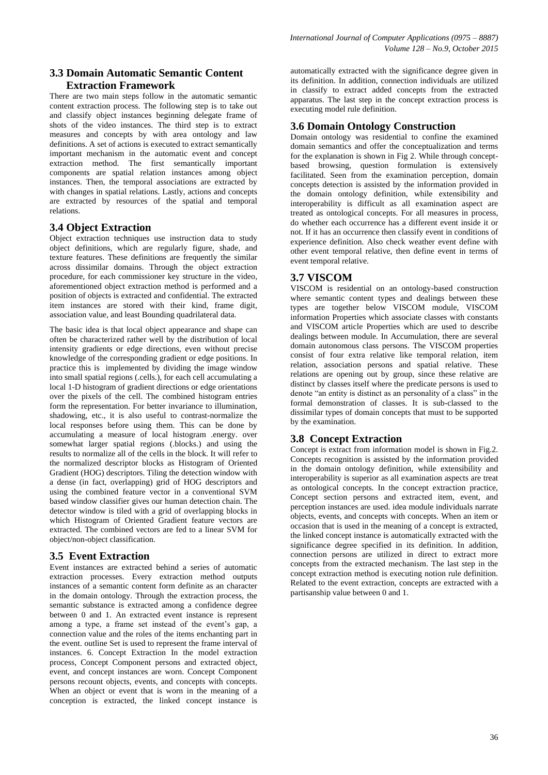# **3.3 Domain Automatic Semantic Content Extraction Framework**

There are two main steps follow in the automatic semantic content extraction process. The following step is to take out and classify object instances beginning delegate frame of shots of the video instances. The third step is to extract measures and concepts by with area ontology and law definitions. A set of actions is executed to extract semantically important mechanism in the automatic event and concept extraction method. The first semantically important components are spatial relation instances among object instances. Then, the temporal associations are extracted by with changes in spatial relations. Lastly, actions and concepts are extracted by resources of the spatial and temporal relations.

### **3.4 Object Extraction**

Object extraction techniques use instruction data to study object definitions, which are regularly figure, shade, and texture features. These definitions are frequently the similar across dissimilar domains. Through the object extraction procedure, for each commissioner key structure in the video, aforementioned object extraction method is performed and a position of objects is extracted and confidential. The extracted item instances are stored with their kind, frame digit, association value, and least Bounding quadrilateral data.

The basic idea is that local object appearance and shape can often be characterized rather well by the distribution of local intensity gradients or edge directions, even without precise knowledge of the corresponding gradient or edge positions. In practice this is implemented by dividing the image window into small spatial regions (.cells.), for each cell accumulating a local 1-D histogram of gradient directions or edge orientations over the pixels of the cell. The combined histogram entries form the representation. For better invariance to illumination, shadowing, etc., it is also useful to contrast-normalize the local responses before using them. This can be done by accumulating a measure of local histogram .energy. over somewhat larger spatial regions (.blocks.) and using the results to normalize all of the cells in the block. It will refer to the normalized descriptor blocks as Histogram of Oriented Gradient (HOG) descriptors. Tiling the detection window with a dense (in fact, overlapping) grid of HOG descriptors and using the combined feature vector in a conventional SVM based window classifier gives our human detection chain. The detector window is tiled with a grid of overlapping blocks in which Histogram of Oriented Gradient feature vectors are extracted. The combined vectors are fed to a linear SVM for object/non-object classification.

# **3.5 Event Extraction**

Event instances are extracted behind a series of automatic extraction processes. Every extraction method outputs instances of a semantic content form definite as an character in the domain ontology. Through the extraction process, the semantic substance is extracted among a confidence degree between 0 and 1. An extracted event instance is represent among a type, a frame set instead of the event's gap, a connection value and the roles of the items enchanting part in the event. outline Set is used to represent the frame interval of instances. 6. Concept Extraction In the model extraction process, Concept Component persons and extracted object, event, and concept instances are worn. Concept Component persons recount objects, events, and concepts with concepts. When an object or event that is worn in the meaning of a conception is extracted, the linked concept instance is automatically extracted with the significance degree given in its definition. In addition, connection individuals are utilized in classify to extract added concepts from the extracted apparatus. The last step in the concept extraction process is executing model rule definition.

# **3.6 Domain Ontology Construction**

Domain ontology was residential to confine the examined domain semantics and offer the conceptualization and terms for the explanation is shown in Fig 2. While through conceptbased browsing, question formulation is extensively facilitated. Seen from the examination perception, domain concepts detection is assisted by the information provided in the domain ontology definition, while extensibility and interoperability is difficult as all examination aspect are treated as ontological concepts. For all measures in process, do whether each occurrence has a different event inside it or not. If it has an occurrence then classify event in conditions of experience definition. Also check weather event define with other event temporal relative, then define event in terms of event temporal relative.

### **3.7 VISCOM**

VISCOM is residential on an ontology-based construction where semantic content types and dealings between these types are together below VISCOM module, VISCOM information Properties which associate classes with constants and VISCOM article Properties which are used to describe dealings between module. In Accumulation, there are several domain autonomous class persons. The VISCOM properties consist of four extra relative like temporal relation, item relation, association persons and spatial relative. These relations are opening out by group, since these relative are distinct by classes itself where the predicate persons is used to denote "an entity is distinct as an personality of a class" in the formal demonstration of classes. It is sub-classed to the dissimilar types of domain concepts that must to be supported by the examination.

# **3.8 Concept Extraction**

Concept is extract from information model is shown in Fig.2. Concepts recognition is assisted by the information provided in the domain ontology definition, while extensibility and interoperability is superior as all examination aspects are treat as ontological concepts. In the concept extraction practice, Concept section persons and extracted item, event, and perception instances are used. idea module individuals narrate objects, events, and concepts with concepts. When an item or occasion that is used in the meaning of a concept is extracted, the linked concept instance is automatically extracted with the significance degree specified in its definition. In addition, connection persons are utilized in direct to extract more concepts from the extracted mechanism. The last step in the concept extraction method is executing notion rule definition. Related to the event extraction, concepts are extracted with a partisanship value between 0 and 1.